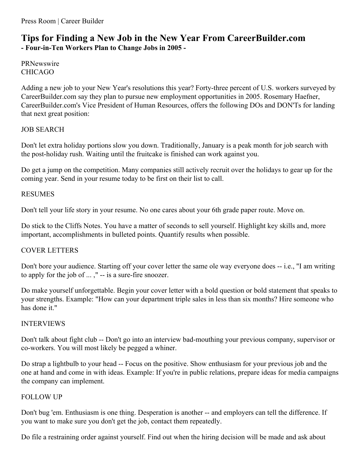# **Tips for Finding a New Job in the New Year From CareerBuilder.com - Four-in-Ten Workers Plan to Change Jobs in 2005 -**

PRNewswire CHICAGO

Adding a new job to your New Year's resolutions this year? Forty-three percent of U.S. workers surveyed by CareerBuilder.com say they plan to pursue new employment opportunities in 2005. Rosemary Haefner, CareerBuilder.com's Vice President of Human Resources, offers the following DOs and DON'Ts for landing that next great position:

# JOB SEARCH

Don't let extra holiday portions slow you down. Traditionally, January is a peak month for job search with the post-holiday rush. Waiting until the fruitcake is finished can work against you.

Do get a jump on the competition. Many companies still actively recruit over the holidays to gear up for the coming year. Send in your resume today to be first on their list to call.

# RESUMES

Don't tell your life story in your resume. No one cares about your 6th grade paper route. Move on.

Do stick to the Cliffs Notes. You have a matter of seconds to sell yourself. Highlight key skills and, more important, accomplishments in bulleted points. Quantify results when possible.

### COVER LETTERS

Don't bore your audience. Starting off your cover letter the same ole way everyone does -- i.e., "I am writing to apply for the job of ... ," -- is a sure-fire snoozer.

Do make yourself unforgettable. Begin your cover letter with a bold question or bold statement that speaks to your strengths. Example: "How can your department triple sales in less than six months? Hire someone who has done it."

### INTERVIEWS

Don't talk about fight club -- Don't go into an interview bad-mouthing your previous company, supervisor or co-workers. You will most likely be pegged a whiner.

Do strap a lightbulb to your head -- Focus on the positive. Show enthusiasm for your previous job and the one at hand and come in with ideas. Example: If you're in public relations, prepare ideas for media campaigns the company can implement.

### FOLLOW UP

Don't bug 'em. Enthusiasm is one thing. Desperation is another -- and employers can tell the difference. If you want to make sure you don't get the job, contact them repeatedly.

Do file a restraining order against yourself. Find out when the hiring decision will be made and ask about